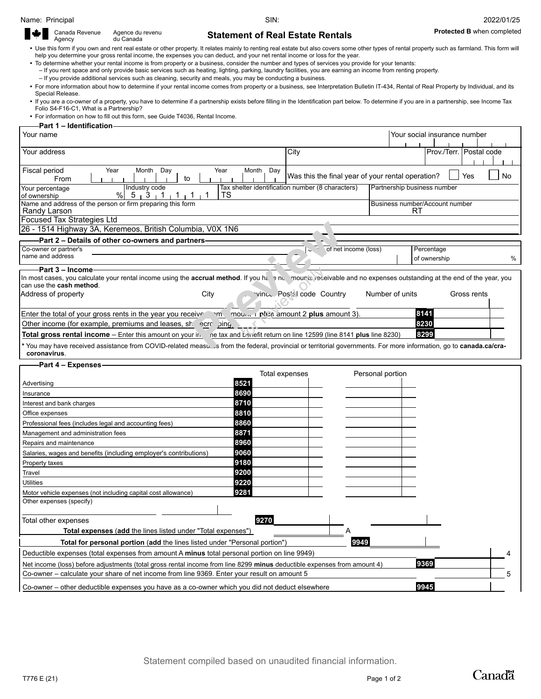## **duries Statement of Real Estate Rentals Protected B** when completed

| $\begin{array}{c} \begin{array}{c} \text{Gamma} \\ \text{P} \end{array} \\ \begin{array}{c} \end{array} \end{array}$<br>Canada Revenue | Agence du revenu<br>du Canada | <b>Stateme</b>                                                                      |
|----------------------------------------------------------------------------------------------------------------------------------------|-------------------------------|-------------------------------------------------------------------------------------|
|                                                                                                                                        |                               | • Use this form if you own and rent real estate or other property It relates mainly |

to renting real estate but also covers some other types of rental property such as farmland. This form will help you determine your gross rental income, the expenses you can deduct, and your net rental income or loss for the year.

∙ To determine whether your rental income is from property or a business, consider the number and types of services you provide for your tenants:<br>H you rent space and only provide basic services such as heating, lighting,

– If you provide additional services such as cleaning, security and meals, you may be conducting a business.

 For more information about how to determine if your rental income comes from property or a business, see Interpretation Bulletin IT-434, Rental of Real Property by Individual, and its Special Release.

∙ If you are a co-owner of a property, you have to determine if a partnership exists before filling in the Identification part below. To determine if you are in a partnership, see Income Tax<br>Folio S4-F16-C1, What is a Par

For information on how to fill out this form, see Guide T4036, Rental Income.

| Part 1 – Identification                                                                                                                                              |                        |                                                   |                             |                              |             |  |  |
|----------------------------------------------------------------------------------------------------------------------------------------------------------------------|------------------------|---------------------------------------------------|-----------------------------|------------------------------|-------------|--|--|
| Your name                                                                                                                                                            |                        |                                                   |                             | Your social insurance number |             |  |  |
| Your address                                                                                                                                                         | City                   |                                                   |                             | Prov./Terr. Postal code      |             |  |  |
|                                                                                                                                                                      |                        |                                                   |                             |                              |             |  |  |
| Fiscal period<br>Year<br>Year<br>Month<br>Day<br>to<br>From                                                                                                          | Day<br>Month           | Was this the final year of your rental operation? |                             |                              | No<br>Yes   |  |  |
| Industry code<br>Your percentage                                                                                                                                     |                        | Tax shelter identification number (8 characters)  | Partnership business number |                              |             |  |  |
| %<br>5 3 1<br>TS<br>of ownership<br>$1 \t1$                                                                                                                          |                        |                                                   |                             |                              |             |  |  |
| Name and address of the person or firm preparing this form<br>Randy Larson                                                                                           |                        | Business number/Account number<br>RT              |                             |                              |             |  |  |
| Focused Tax Strategies Ltd                                                                                                                                           |                        |                                                   |                             |                              |             |  |  |
| 26 - 1514 Highway 3A, Keremeos, British Columbia, V0X 1N6                                                                                                            |                        |                                                   |                             |                              |             |  |  |
| -Part 2 - Details of other co-owners and partners-                                                                                                                   |                        |                                                   |                             |                              |             |  |  |
| Co-owner or partner's                                                                                                                                                |                        | of net income (loss)                              |                             | Percentage                   |             |  |  |
| name and address                                                                                                                                                     |                        |                                                   |                             | of ownership                 | %           |  |  |
| <b>Part 3 – Income</b>                                                                                                                                               |                        |                                                   |                             |                              |             |  |  |
| In most cases, you calculate your rental income using the accrual method. If you happoned and receivable and no expenses outstanding at the end of the year, you     |                        |                                                   |                             |                              |             |  |  |
| can use the cash method.<br>Address of property<br>City                                                                                                              |                        | vince Postal code Country                         | Number of units             |                              | Gross rents |  |  |
|                                                                                                                                                                      |                        |                                                   |                             |                              |             |  |  |
| Enter the total of your gross rents in the year you receive many mount of plus amount 2 plus amount 3).                                                              |                        |                                                   |                             | 8141                         |             |  |  |
| Other income (for example, premiums and leases, she ecroping)                                                                                                        |                        |                                                   |                             | 8230                         |             |  |  |
| Total gross rental income – Enter this amount on your in the tax and benefit return on line 12599 (line 8141 plus line 8230)                                         |                        |                                                   |                             | 8299                         |             |  |  |
| * You may have received assistance from COVID-related measuse is from the federal, provincial or territorial governments. For more information, go to canada.ca/cra- |                        |                                                   |                             |                              |             |  |  |
| coronavirus.                                                                                                                                                         |                        |                                                   |                             |                              |             |  |  |
| Part 4 - Expenses                                                                                                                                                    |                        |                                                   |                             |                              |             |  |  |
| Advertising                                                                                                                                                          | Total expenses<br>8521 |                                                   | Personal portion            |                              |             |  |  |
| Insurance                                                                                                                                                            | 8690                   |                                                   |                             |                              |             |  |  |
| Interest and bank charges                                                                                                                                            | 8710                   |                                                   |                             |                              |             |  |  |
| Office expenses                                                                                                                                                      | 8810                   |                                                   |                             |                              |             |  |  |
| Professional fees (includes legal and accounting fees)                                                                                                               | 8860                   |                                                   |                             |                              |             |  |  |
| Management and administration fees                                                                                                                                   | 8871                   |                                                   |                             |                              |             |  |  |
| Repairs and maintenance                                                                                                                                              | 8960                   |                                                   |                             |                              |             |  |  |
| Salaries, wages and benefits (including employer's contributions)                                                                                                    | 9060                   |                                                   |                             |                              |             |  |  |
| Property taxes                                                                                                                                                       | 9180                   |                                                   |                             |                              |             |  |  |
| Travel                                                                                                                                                               | 9200                   |                                                   |                             |                              |             |  |  |
| <b>Utilities</b>                                                                                                                                                     | 9220                   |                                                   |                             |                              |             |  |  |
| Motor vehicle expenses (not including capital cost allowance)                                                                                                        | 9281                   |                                                   |                             |                              |             |  |  |
| Other expenses (specify)                                                                                                                                             |                        |                                                   |                             |                              |             |  |  |
|                                                                                                                                                                      |                        |                                                   |                             |                              |             |  |  |
| Total other expenses                                                                                                                                                 | 927 U                  |                                                   |                             |                              |             |  |  |
| <b>Total expenses (add the lines listed under "Total expenses")</b>                                                                                                  |                        | А                                                 |                             |                              |             |  |  |
| Total for personal portion (add the lines listed under "Personal portion")                                                                                           |                        | 9949                                              |                             |                              |             |  |  |
| Deductible expenses (total expenses from amount A minus total personal portion on line 9949)                                                                         |                        |                                                   |                             |                              |             |  |  |
| 9369<br>Net income (loss) before adjustments (total gross rental income from line 8299 minus deductible expenses from amount 4)                                      |                        |                                                   |                             |                              |             |  |  |
| Co-owner - calculate your share of net income from line 9369. Enter your result on amount 5                                                                          |                        |                                                   |                             |                              | 5           |  |  |
| Co-owner – other deductible expenses you have as a co-owner which you did not deduct elsewhere                                                                       |                        |                                                   |                             | 9945                         |             |  |  |